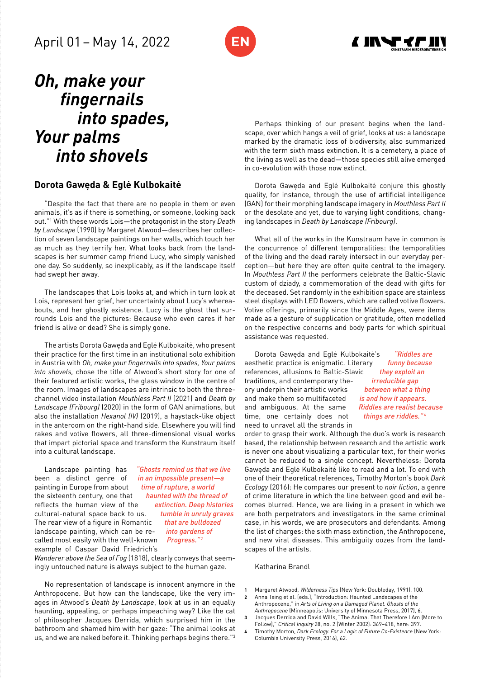



# *Oh, make your fingernails into spades, Your palms into shovels*

# **Dorota Gawęda & Eglė Kulbokaitė**

"Despite the fact that there are no people in them or even animals, it's as if there is something, or someone, looking back out."1 With these words Lois—the protagonist in the story *Death by Landscape* (1990) by Margaret Atwood—describes her collection of seven landscape paintings on her walls, which touch her as much as they terrify her. What looks back from the landscapes is her summer camp friend Lucy, who simply vanished one day. So suddenly, so inexplicably, as if the landscape itself had swept her away.

The landscapes that Lois looks at, and which in turn look at Lois, represent her grief, her uncertainty about Lucy's whereabouts, and her ghostly existence. Lucy is the ghost that surrounds Lois and the pictures: Because who even cares if her friend is alive or dead? She is simply gone.

The artists Dorota Gawęda and Eglė Kulbokaitė, who present their practice for the first time in an institutional solo exhibition in Austria with *Oh, make your fingernails into spades, Your palms into shovels,* chose the title of Atwood's short story for one of their featured artistic works, the glass window in the centre of the room. Images of landscapes are intrinsic to both the threechannel video installation *Mouthless Part II* (2021) and *Death by Landscape (Fribourg)* (2020) in the form of GAN animations, but also the installation *Hexanol (IV)* (2019), a haystack-like object in the anteroom on the right-hand side. Elsewhere you will find rakes and votive flowers, all three-dimensional visual works that impart pictorial space and transform the Kunstraum itself into a cultural landscape.

Landscape painting has been a distinct genre of painting in Europe from about the sixteenth century, one that reflects the human view of the cultural-natural space back to us. The rear view of a figure in Romantic landscape painting, which can be recalled most easily with the well-known example of Caspar David Friedrich's *"Ghosts remind us that we live in an impossible present—a time of rupture, a world haunted with the thread of extinction. Deep histories tumble in unruly graves that are bulldozed into gardens of Progress."*  2

*Wanderer above the Sea of Fog* (1818), clearly conveys that seemingly untouched nature is always subject to the human gaze.

No representation of landscape is innocent anymore in the Anthropocene. But how can the landscape, like the very images in Atwood's *Death by Landscape*, look at us in an equally haunting, appealing, or perhaps impeaching way? Like the cat of philosopher Jacques Derrida, which surprised him in the bathroom and shamed him with her gaze: "The animal looks at us, and we are naked before it. Thinking perhaps begins there."3

Perhaps thinking of our present begins when the landscape, over which hangs a veil of grief, looks at us: a landscape marked by the dramatic loss of biodiversity, also summarized with the term sixth mass extinction. It is a cemetery, a place of the living as well as the dead—those species still alive emerged in co-evolution with those now extinct.

Dorota Gawęda and Eglė Kulbokaitė conjure this ghostly quality, for instance, through the use of artificial intelligence (GAN) for their morphing landscape imagery in *Mouthless Part II* or the desolate and yet, due to varying light conditions, changing landscapes in *Death by Landscape (Fribourg)*.

What all of the works in the Kunstraum have in common is the concurrence of different temporalities: the temporalities of the living and the dead rarely intersect in our everyday perception—but here they are often quite central to the imagery. In *Mouthless Part II* the performers celebrate the Baltic-Slavic custom of dziady, a commemoration of the dead with gifts for the deceased. Set randomly in the exhibition space are stainless steel displays with LED flowers, which are called votive flowers. Votive offerings, primarily since the Middle Ages, were items made as a gesture of supplication or gratitude, often modelled on the respective concerns and body parts for which spiritual assistance was requested.

Dorota Gawęda and Eglė Kulbokaitė's aesthetic practice is enigmatic. Literary references, allusions to Baltic-Slavic traditions, and contemporary theory underpin their artistic works and make them so multifaceted and ambiguous. At the same time, one certainly does not need to unravel all the strands in

*"Riddles are funny because they exploit an irreducible gap between what a thing is and how it appears. Riddles are realist because things are riddles."*  4

order to grasp their work. Although the duo's work is research based, the relationship between research and the artistic work is never one about visualizing a particular text, for their works cannot be reduced to a single concept. Nevertheless: Dorota Gawęda and Eglė Kulbokaitė like to read and a lot. To end with one of their theoretical references, Timothy Morton's book *Dark Ecology* (2016): He compares our present to *noir fiction*, a genre of crime literature in which the line between good and evil becomes blurred. Hence, we are living in a present in which we are both perpetrators and investigators in the same criminal case, in his words, we are prosecutors and defendants. Among the list of charges: the sixth mass extinction, the Anthropocene, and new viral diseases. This ambiguity oozes from the landscapes of the artists.

### Katharina Brandl

- **1** Margaret Atwood, *Wilderness Tips* (New York: Doubleday, 1991), 100.
- **2** Anna Tsing et al. (eds.), "Introduction: Haunted Landscapes of the Anthropocene," in *Arts of Living on a Damaged Planet. Ghosts of the Anthropocene* (Minneapolis: University of Minnesota Press, 2017), 6.
- **3** Jacques Derrida and David Wills, "The Animal That Therefore I Am (More to Follow)," *Critical Inquiry* 28, no. 2 (Winter 2002): 369–418, here: 397.
- **4** Timothy Morton, *Dark Ecology. For a Logic of Future Co-Existence* (New York: Columbia University Press, 2016), 62.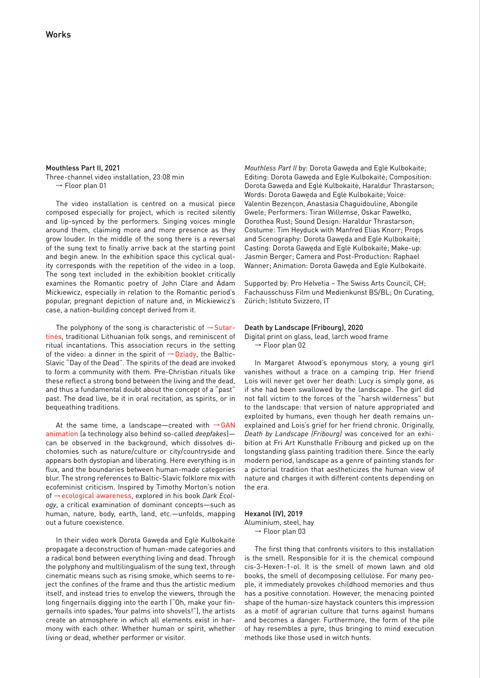Mouthless Part II, 2021 Three-channel video installation, 23:08 min ➞ Floor plan 01

The video installation is centred on a musical piece composed especially for project, which is recited silently and lip-synced by the performers. Singing voices mingle around them, claiming more and more presence as they grow louder. In the middle of the song there is a reversal of the sung text to finally arrive back at the starting point and begin anew. In the exhibition space this cyclical quality corresponds with the repetition of the video in a loop. The song text included in the exhibition booklet critically examines the Romantic poetry of John Clare and Adam Mickiewicz, especially in relation to the Romantic period's popular, pregnant depiction of nature and, in Mickiewicz's case, a nation-building concept derived from it.

The polyphony of the song is characteristic of  $\rightarrow$  Sutartinės, traditional Lithuanian folk songs, and reminiscent of ritual incantations. This association recurs in the setting of the video: a dinner in the spirit of  $\rightarrow$  Dziady, the Baltic-Slavic "Day of the Dead". The spirits of the dead are invoked to form a community with them. Pre-Christian rituals like these reflect a strong bond between the living and the dead, and thus a fundamental doubt about the concept of a "past" past. The dead live, be it in oral recitation, as spirits, or in bequeathing traditions.

At the same time, a landscape—created with  $\rightarrow$  GAN animation (a technology also behind so-called *deepfakes*) can be observed in the background, which dissolves dichotomies such as nature/culture or city/countryside and appears both dystopian and liberating. Here everything is in flux, and the boundaries between human-made categories blur. The strong references to Baltic-Slavic folklore mix with ecofeminist criticism. Inspired by Timothy Morton's notion of ➞ecological awareness, explored in his book *Dark Ecology*, a critical examination of dominant concepts—such as human, nature, body, earth, land, etc.—unfolds, mapping out a future coexistence.

In their video work Dorota Gawęda and Eglė Kulbokaitė propagate a deconstruction of human-made categories and a radical bond between everything living and dead. Through the polyphony and multilingualism of the sung text, through cinematic means such as rising smoke, which seems to reject the confines of the frame and thus the artistic medium itself, and instead tries to envelop the viewers, through the long fingernails digging into the earth ("Oh, make your fingernails into spades, Your palms into shovels!"), the artists create an atmosphere in which all elements exist in harmony with each other. Whether human or spirit, whether living or dead, whether performer or visitor.

*Mouthless Part II* by: Dorota Gawęda and Eglė Kulbokaitė; Editing: Dorota Gawęda and Eglė Kulbokaitė; Composition: Dorota Gawęda and Eglė Kulbokaitė, Haraldur Thrastarson; Words: Dorota Gawęda and Eglė Kulbokaitė; Voice: Valentin Bezençon, Anastasia Chaguidouline, Abongile Gwele; Performers: Tiran Willemse, Oskar Pawełko, Dorothea Rust; Sound Design: Haraldur Thrastarson; Costume: Tim Heyduck with Manfred Elias Knorr; Props and Scenography: Dorota Gawęda and Eglė Kulbokaitė; Casting: Dorota Gawęda and Eglė Kulbokaitė; Make-up: Jasmin Berger; Camera and Post-Production: Raphael Wanner; Animation: Dorota Gawęda and Eglė Kulbokaitė.

Supported by: Pro Helvetia – The Swiss Arts Council, CH; Fachausschuss Film und Medienkunst BS/BL; On Curating, Zürich; Istituto Svizzero, IT

#### Death by Landscape (Fribourg), 2020

Digital print on glass, lead, larch wood frame ➞ Floor plan 02

In Margaret Atwood's eponymous story, a young girl vanishes without a trace on a camping trip. Her friend Lois will never get over her death: Lucy is simply gone, as if she had been swallowed by the landscape. The girl did not fall victim to the forces of the "harsh wilderness" but to the landscape: that version of nature appropriated and exploited by humans, even though her death remains unexplained and Lois's grief for her friend chronic. Originally, *Death by Landscape (Fribourg)* was conceived for an exhibition at Fri Art Kunsthalle Fribourg and picked up on the longstanding glass painting tradition there. Since the early modern period, landscape as a genre of painting stands for a pictorial tradition that aestheticizes the human view of nature and charges it with different contents depending on the era.

# Hexanol (IV), 2019

Aluminium, steel, hay ➞ Floor plan 03

The first thing that confronts visitors to this installation is the smell. Responsible for it is the chemical compound cis-3-Hexen-1-ol. It is the smell of mown lawn and old books, the smell of decomposing cellulose. For many people, it immediately provokes childhood memories and thus has a positive connotation. However, the menacing pointed shape of the human-size haystack counters this impression as a motif of agrarian culture that turns against humans and becomes a danger. Furthermore, the form of the pile of hay resembles a pyre, thus bringing to mind execution methods like those used in witch hunts.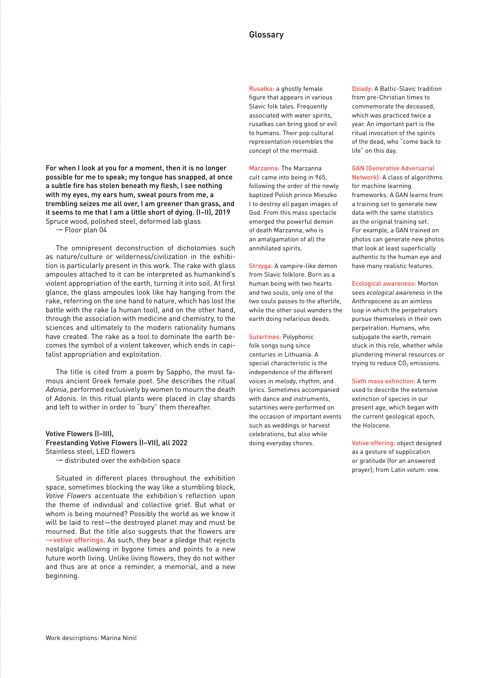For when I look at you for a moment, then it is no longer possible for me to speak; my tongue has snapped, at once a subtle fire has stolen beneath my flesh, I see nothing with my eyes, my ears hum, sweat pours from me, a trembling seizes me all over, I am greener than grass, and it seems to me that I am a little short of dying. (I–II), 2019 Spruce wood, polished steel, deformed lab glass

➞ Floor plan 04

The omnipresent deconstruction of dichotomies such as nature/culture or wilderness/civilization in the exhibition is particularly present in this work. The rake with glass ampoules attached to it can be interpreted as humankind's violent appropriation of the earth, turning it into soil. At first glance, the glass ampoules look like hay hanging from the rake, referring on the one hand to nature, which has lost the battle with the rake (a human tool), and on the other hand, through the association with medicine and chemistry, to the sciences and ultimately to the modern rationality humans have created. The rake as a tool to dominate the earth becomes the symbol of a violent takeover, which ends in capitalist appropriation and exploitation.

The title is cited from a poem by Sappho, the most famous ancient Greek female poet. She describes the ritual *Adonia*, performed exclusively by women to mourn the death of Adonis. In this ritual plants were placed in clay shards and left to wither in order to "bury" them thereafter.

Votive Flowers (I–III), Freestanding Votive Flowers (I–VII), all 2022 Stainless steel, LED flowers

 $\rightarrow$  distributed over the exhibition space

Situated in different places throughout the exhibition space, sometimes blocking the way like a stumbling block, *Votive Flowers* accentuate the exhibition's reflection upon the theme of individual and collective grief. But what or whom is being mourned? Possibly the world as we know it will be laid to rest—the destroyed planet may and must be mourned. But the title also suggests that the flowers are  $\rightarrow$  votive offerings. As such, they bear a pledge that rejects nostalgic wallowing in bygone times and points to a new future worth living. Unlike living flowers, they do not wither and thus are at once a reminder, a memorial, and a new beginning.

Rusałka: a ghostly female figure that appears in various Slavic folk tales. Frequently associated with water spirits, rusałkas can bring good or evil to humans. Their pop cultural representation resembles the concept of the mermaid.

Marzanna: The Marzanna cult came into being in 965, following the order of the newly baptized Polish prince Mieszko I to destroy all pagan images of God. From this mass spectacle emerged the powerful demon of death Marzanna, who is an amalgamation of all the annihilated spirits.

Strzyga: A vampire-like demon from Slavic folklore. Born as a human being with two hearts and two souls, only one of the two souls passes to the afterlife, while the other soul wanders the earth doing nefarious deeds.

Sutartinės: Polyphonic folk songs sung since centuries in Lithuania. A special characteristic is the independence of the different voices in melody, rhythm, and lyrics. Sometimes accompanied with dance and instruments, sutartinės were performed on the occasion of important events such as weddings or harvest celebrations, but also while doing everyday chores.

Dziady: A Baltic-Slavic tradition from pre-Christian times to commemorate the deceased, which was practiced twice a year. An important part is the ritual invocation of the spirits of the dead, who "come back to life" on this day.

# GAN (Generative Adversarial

Network): A class of algorithms for machine learning frameworks. A GAN learns from a training set to generate new data with the same statistics as the original training set. For example, a GAN trained on photos can generate new photos that look at least superficially authentic to the human eye and have many realistic features.

Ecological awareness: Morton sees *ecological awareness* in the Anthropocene as an aimless loop in which the perpetrators pursue themselves in their own perpetration. Humans, who subjugate the earth, remain stuck in this role, whether while plundering mineral resources or trying to reduce  $CO<sub>2</sub>$  emissions.

Sixth mass extinction: A term used to describe the extensive extinction of species in our present age, which began with the current geological epoch, the Holocene.

Votive offering: object designed as a gesture of supplication or gratitude (for an answered prayer); from Latin *votum*: vow.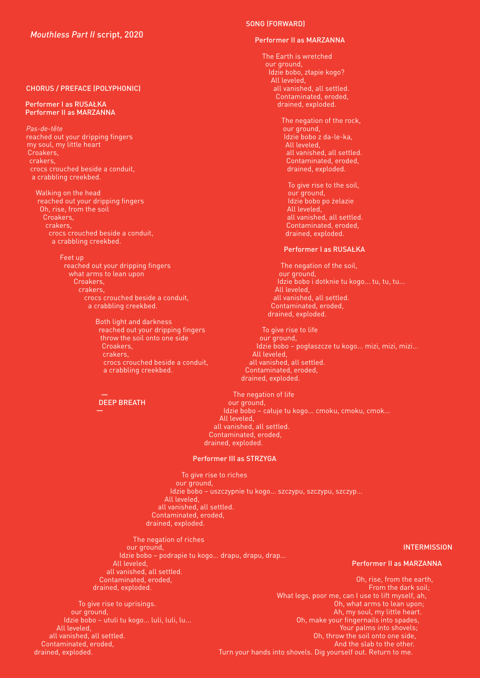# CHORUS / PREFACE (POLYPHONIC)

#### Performer I as RUSAŁKA Performer II as MARZANNA

*Pas-de-tête* reached out your dripping fingers my soul, my little heart Croakers, crakers, crocs crouched beside a conduit, a crabbling creekbed.

Walking on the head reached out your dripping fingers Oh, rise, from the soil Croakers, crakers, crocs crouched beside a conduit, a crabbling creekbed.

Feet up

reached out your dripping fingers what arms to lean upon Croakers, crakers, crocs crouched beside a conduit, a crabbling creekbed.

> Both light and darkness reached out your dripping fingers throw the soil onto one side Croakers, crakers, crocs crouched beside a conduit, a crabbling creekbed.

# DEEP BREATH

SONG (FORWARD)

#### Performer II as MARZANNA

The Earth is wretched our ground, Idzie bobo, złapie kogo? All leveled, all vanished, all settled. Contaminated, eroded, drained, exploded.

> The negation of the rock, our ground, Idzie bobo z da-le-ka, All leveled, all vanished, all settled. Contaminated, eroded, drained, exploded.

To give rise to the soil, our ground, Idzie bobo po żelazie All leveled, all vanished, all settled. Contaminated, eroded, drained, exploded.

#### Performer I as RUSAŁKA

The negation of the soil, our ground, Idzie bobo i dotknie tu kogo... tu, tu, tu... All leveled, all vanished, all settled. Contaminated, eroded, drained, exploded.

To give rise to life our ground, Idzie bobo – pogłaszcze tu kogo... mizi, mizi, mizi... All leveled, all vanished, all settled. Contaminated, eroded, drained, exploded.

The negation of life our ground, Idzie bobo – całuje tu kogo... cmoku, cmoku, cmok... All leveled, all vanished, all settled. Contaminated, eroded, drained, exploded.

#### Performer III as STRZYGA

To give rise to riches our ground, Idzie bobo – uszczypnie tu kogo... szczypu, szczypu, szczyp... All leveled, all vanished, all settled. Contaminated, eroded, drained, exploded.

The negation of riches our ground, Idzie bobo – podrapie tu kogo... drapu, drapu, drap... All leveled, all vanished, all settled. Contaminated, eroded, drained, exploded.

**INTERMISSION** 

Performer II as MARZANNA

Oh, rise, from the earth, From the dark soil; What legs, poor me, can I use to lift myself, ah, Oh, what arms to lean upon; Ah, my soul, my little heart. Oh, make your fingernails into spades, Your palms into shovels; Oh, throw the soil onto one side, And the slab to the other. Turn your hands into shovels. Dig yourself out. Return to me.

To give rise to uprisings. our ground, Idzie bobo – utuli tu kogo... luli, luli, lu... All leveled, all vanished, all settled. Contaminated, eroded, drained, exploded.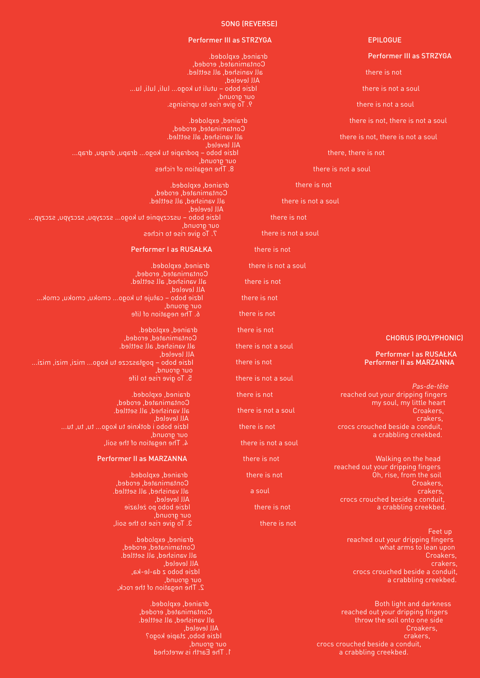#### SONG (REVERSE)

# EPILOGUE

- Performer III as STRZYGA
- there is not
- there is not a soul
- there is not a soul
- there is not, there is not a soul
- there is not, there is not a soul

there, there is not

there is not a soul

there is not

there is not a soul

there is not

there is not a soul

there is not

there is not a soul

there is not

there is not

there is not

there is not

there is not a soul

there is not

there is not a soul

there is not

there is not a soul

there is not

there is not a soul

there is not

there is not

a soul

there is not

there is not

Feet up reached out your dripping fingers what arms to lean upon Croakers, crakers, crocs crouched beside a conduit, a crabbling creekbed.

reached out your dripping fingers throw the soil onto one side Croakers, crakers, crocs crouched beside a conduit, a crabbling creekbed.

# Performer III as STRZYGA

drained, exploded. Contaminated, eroded, all vanished, all settled. All leveled, Idzie bobo – utuli tu kogo... luli, luli, lu... our ground, 9. To give rise to uprisings.

drained, exploded. Contaminated, eroded, all vanished, all settled. All leveled, Idzie bobo – podrapie tu kogo... drapu, drapu, drap... our ground, 8. The negation of riches

drained, exploded. Contaminated, eroded, all vanished, all settled. All leveled, Idzie bobo – uszczypnie tu kogo... szczypu, szczypu, szczyp... our ground, 7. To give rise to riches

#### Performer I as RUSAŁKA

drained, exploded. Contaminated, eroded, all vanished, all settled. All leveled, Idzie bobo – całuje tu kogo... cmoku, cmoku, cmok... our ground, 6. The negation of life

drained, exploded. Contaminated, eroded, all vanished, all settled. All leveled, Idzie bobo – pogłaszcze tu kogo... mizi, mizi, mizi... our ground, 5. To give rise to life

> drained, exploded. Contaminated, eroded, all vanished, all settled. All leveled, Idzie bobo i dotknie tu kogo... tu, tu, tu... our ground, 4. The negation of the soil,

#### Performer II as MARZANNA

drained, exploded. Contaminated, eroded, all vanished, all settled. All leveled, Idzie bobo po żelazie our ground, 3. To give rise to the soil,

drained, exploded. Contaminated, eroded, all vanished, all settled. All leveled, Idzie bobo z da-le-ka, our ground, 2. The negation of the rock,

> drained, exploded. Contaminated, eroded, all vanished, all settled. All leveled, Idzie bobo, złapie kogo? our ground, 1. The Earth is wretched

# CHORUS (POLYPHONIC)

#### Performer I as RUSAŁKA Performer II as MARZANNA

*Pas-de-tête* reached out your dripping fingers my soul, my little heart Croakers, crakers, crocs crouched beside a conduit, a crabbling creekbed.

 Walking on the head reached out your dripping fingers Oh, rise, from the soil Croakers, crakers, crocs crouched beside a conduit,

a crabbling creekbed.

Both light and darkness